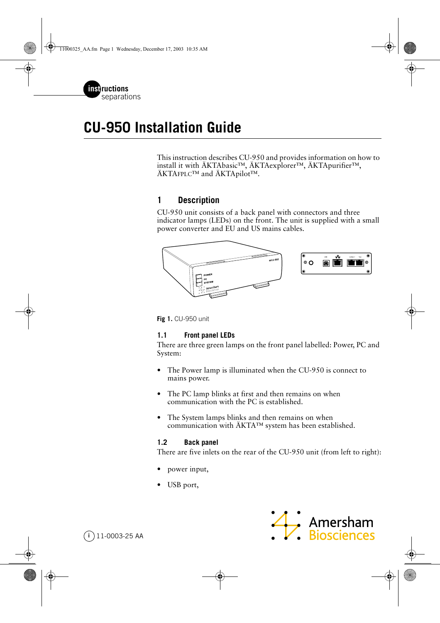

# **CU-950 Installation Guide**

This instruction describes CU-950 and provides information on how to install it with ÄKTAbasic™, ÄKTAexplorer™, ÄKTApurifier™, ÄKTAFPLC™ and ÄKTApilot™.

### **1 Description**

CU-950 unit consists of a back panel with connectors and three indicator lamps (LEDs) on the front. The unit is supplied with a small power converter and EU and US mains cables.



**Fig 1.** CU-950 unit

#### **1.1 Front panel LEDs**

There are three green lamps on the front panel labelled: Power, PC and System:

- The Power lamp is illuminated when the CU-950 is connect to mains power.
- The PC lamp blinks at first and then remains on when communication with the PC is established.
- The System lamps blinks and then remains on when communication with ÄKTA™ system has been established.

#### **1.2 Back panel**

There are five inlets on the rear of the CU-950 unit (from left to right):

- power input,
- USB port,



**i** 11-0003-25 AA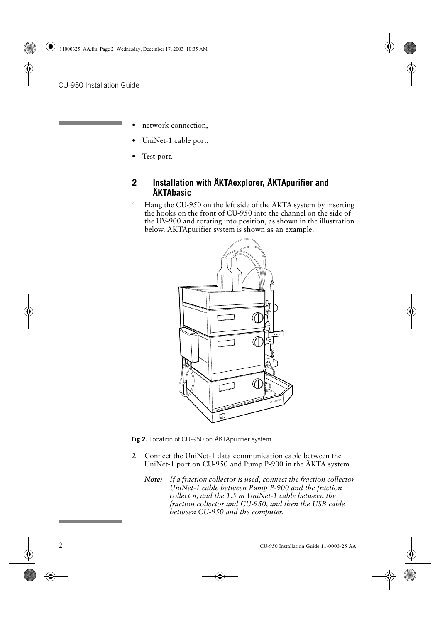- network connection,
- UniNet-1 cable port,
- Test port.

## **2 Installation with ÄKTAexplorer, ÄKTApurifier and ÄKTAbasic**

1 Hang the CU-950 on the left side of the ÄKTA system by inserting the hooks on the front of CU-950 into the channel on the side of the UV-900 and rotating into position, as shown in the illustration below. ÄKTApurifier system is shown as an example.



**Fig 2.** Location of CU-950 on ÄKTApurifier system.

- 2 Connect the UniNet-1 data communication cable between the UniNet-1 port on CU-950 and Pump P-900 in the ÄKTA system.
	- *Note: If a fraction collector is used, connect the fraction collector UniNet-1 cable between Pump P-900 and the fraction collector, and the 1.5 m UniNet-1 cable between the fraction collector and CU-950, and then the USB cable between CU-950 and the computer.*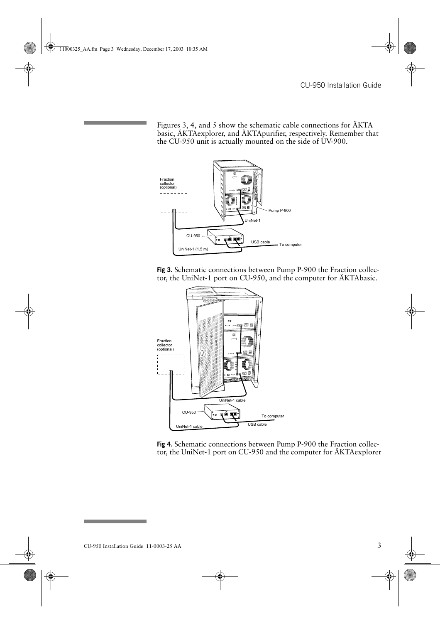Figures 3, 4, and 5 show the schematic cable connections for ÄKTA basic, ÄKTAexplorer, and ÄKTApurifier, respectively. Remember that the CU-950 unit is actually mounted on the side of UV-900.







**Fig 4.** Schematic connections between Pump P-900 the Fraction collector, the UniNet-1 port on CU-950 and the computer for ÄKTAexplorer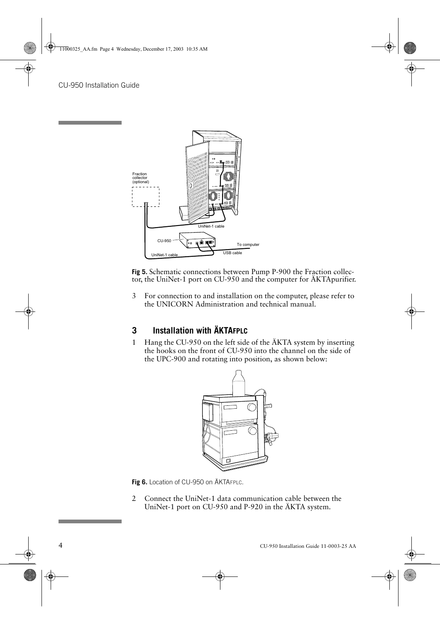

**Fig 5.** Schematic connections between Pump P-900 the Fraction collec- tor, the UniNet-1 port on CU-950 and the computer for ÄKTApurifier.

3 For connection to and installation on the computer, please refer to the UNICORN Administration and technical manual.

# **3 Installation with ÄKTAFPLC**

1 Hang the CU-950 on the left side of the ÄKTA system by inserting the hooks on the front of CU-950 into the channel on the side of the UPC-900 and rotating into position, as shown below:



**Fig 6.** Location of CU-950 on ÄKTAFPLC.

2 Connect the UniNet-1 data communication cable between the UniNet-1 port on CU-950 and P-920 in the ÄKTA system.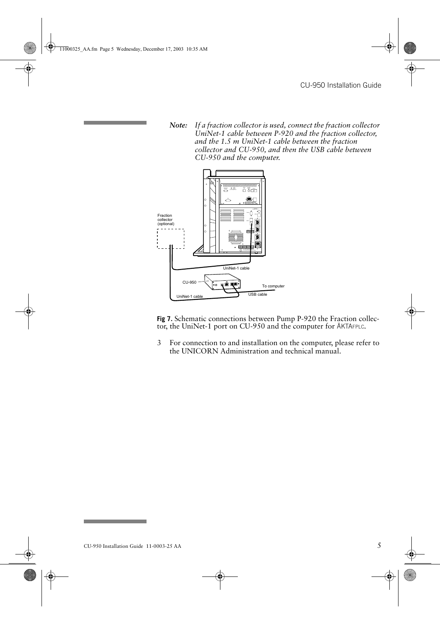*Note: If a fraction collector is used, connect the fraction collector UniNet-1 cable between P-920 and the fraction collector, and the 1.5 m UniNet-1 cable between the fraction collector and CU-950, and then the USB cable between CU-950 and the computer.*



**Fig 7.** Schematic connections between Pump P-920 the Fraction collector, the UniNet-1 port on CU-950 and the computer for ÄKTAFPLC.

3 For connection to and installation on the computer, please refer to the UNICORN Administration and technical manual.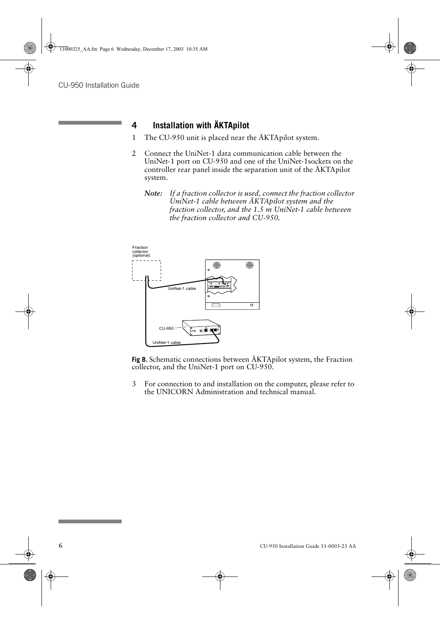# **4 Installation with ÄKTApilot**

- 1 The CU-950 unit is placed near the ÄKTApilot system.
- 2 Connect the UniNet-1 data communication cable between the UniNet-1 port on CU-950 and one of the UniNet-1sockets on the controller rear panel inside the separation unit of the ÄKTApilot system.
	- *Note: If a fraction collector is used, connect the fraction collector UniNet-1 cable between ÄKTApilot system and the fraction collector, and the 1.5 m UniNet-1 cable between the fraction collector and CU-950.*



**Fig 8.** Schematic connections between ÄKTApilot system, the Fraction collector, and the UniNet-1 port on CU-950.

3 For connection to and installation on the computer, please refer to the UNICORN Administration and technical manual.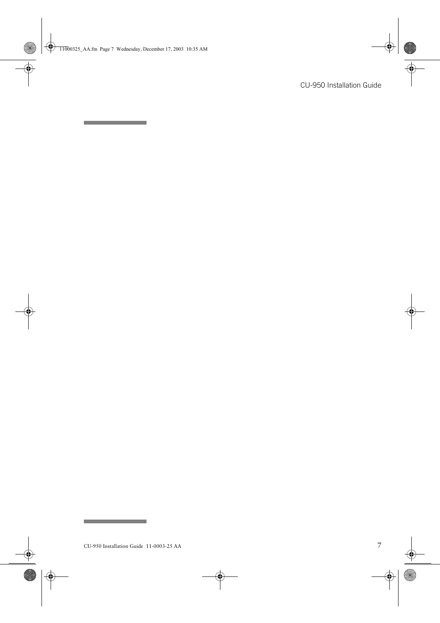$\mathcal{L}^{\mathcal{L}}$  and  $\mathcal{L}^{\mathcal{L}}$  are the set of the set of the set of  $\mathcal{L}^{\mathcal{L}}$ 

the control of the control of the